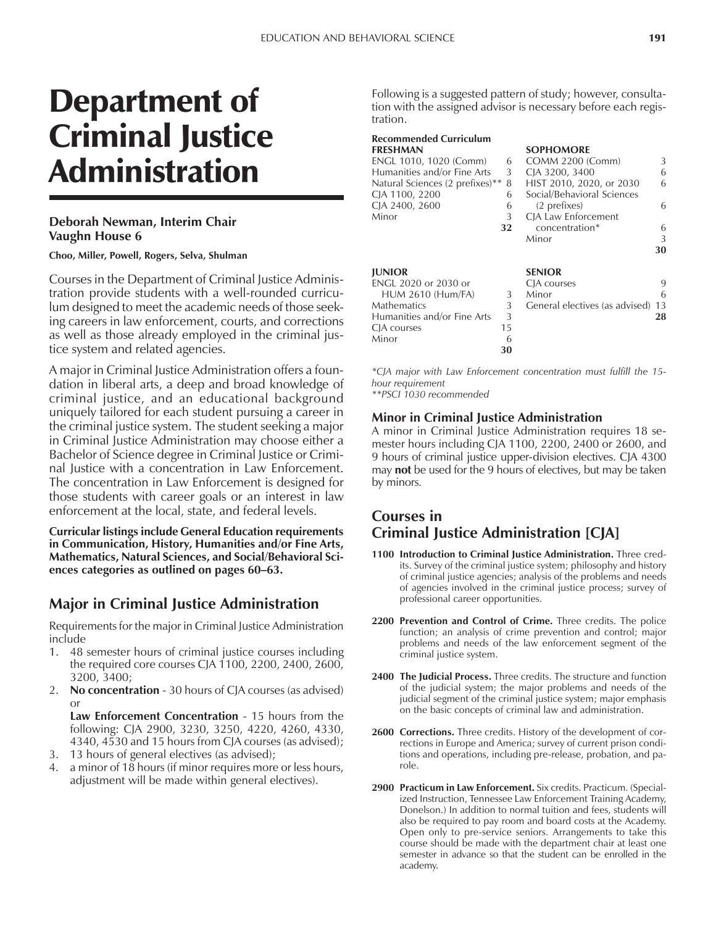# Department of Criminal Justice Administration

### **Deborah Newman, Interim Chair Vaughn House 6**

**Choo, Miller, Powell, Rogers, Selva, Shulman**

Courses in the Department of Criminal Justice Administration provide students with a well-rounded curriculum designed to meet the academic needs of those seeking careers in law enforcement, courts, and corrections as well as those already employed in the criminal justice system and related agencies.

A major in Criminal Justice Administration offers a foundation in liberal arts, a deep and broad knowledge of criminal justice, and an educational background uniquely tailored for each student pursuing a career in the criminal justice system. The student seeking a major in Criminal Justice Administration may choose either a Bachelor of Science degree in Criminal Justice or Criminal Justice with a concentration in Law Enforcement. The concentration in Law Enforcement is designed for those students with career goals or an interest in law enforcement at the local, state, and federal levels.

**Curricular listings include General Education requirements in Communication, History, Humanities and/or Fine Arts, Mathematics, Natural Sciences, and Social/Behavioral Sci**ences categories as outlined on pages 60–63.

# **Major in Criminal Justice Administration**

Requirements for the major in Criminal Justice Administration include

- 1. 48 semester hours of criminal justice courses including the required core courses CJA 1100, 2200, 2400, 2600, 3200, 3400;
- 2. **No concentration**  30 hours of CJA courses (as advised) or

**Law Enforcement Concentration** - 15 hours from the following: CJA 2900, 3230, 3250, 4220, 4260, 4330, 4340, 4530 and 15 hours from CJA courses (as advised);

- 3. 13 hours of general electives (as advised);
- a minor of 18 hours (if minor requires more or less hours, adjustment will be made within general electives).

Following is a suggested pattern of study; however, consultation with the assigned advisor is necessary before each registration.

#### **Recommended Curriculum FRESHMAN SOPHOMORE**<br> **ENGL 1010, 1020 (Comm)** 6 **COMM 2200 (Comm)** ENGL 1010, 1020 (Comm) 6 COMM 2200 (Comm) 3 Humanities and/or Fine Arts 3 CJA 3200, 3400 6 Natural Sciences (2 prefixes)\*\* 8 HIST 2010, 2020, or 2030 6<br>CJA 1100, 2200 6 Social/Behavioral Sciences 6 Social/Behavioral Sciences CJA 2400, 2600 6 (2 prefixes) 6 Minor 3 CJA Law Enforcement **32** concentration\* 6 Minor 3 **30 JUNIOR SENIOR** ENGL 2020 or 2030 or CJA courses 9<br>HUM 2610 (Hum/FA) 3 Minor 6 HUM 2610 (Hum/FA) Mathematics 3 General electives (as advised) 13 Humanities and/or Fine Arts 3 **28** CJA courses Minor 6 **30**

*\*CJA major with Law Enforcement concentration must fulfill the 15 hour requirement*

*\*\*PSCI 1030 recommended*

## **Minor in Criminal Justice Administration**

A minor in Criminal Justice Administration requires 18 semester hours including CJA 1100, 2200, 2400 or 2600, and 9 hours of criminal justice upper-division electives. CJA 4300 may **not** be used for the 9 hours of electives, but may be taken by minors.

## **Courses in Criminal Justice Administration [CJA]**

- **1100 Introduction to Criminal Justice Administration.** Three credits. Survey of the criminal justice system; philosophy and history of criminal justice agencies; analysis of the problems and needs of agencies involved in the criminal justice process; survey of professional career opportunities.
- 2200 Prevention and Control of Crime. Three credits. The police function; an analysis of crime prevention and control; major problems and needs of the law enforcement segment of the criminal justice system.
- **2400 The Judicial Process.** Three credits. The structure and function of the judicial system; the major problems and needs of the judicial segment of the criminal justice system; major emphasis on the basic concepts of criminal law and administration.
- **2600 Corrections.** Three credits. History of the development of corrections in Europe and America; survey of current prison conditions and operations, including pre-release, probation, and parole.
- **2900 Practicum in Law Enforcement.** Six credits. Practicum. (Specialized Instruction, Tennessee Law Enforcement Training Academy, Donelson.) In addition to normal tuition and fees, students will also be required to pay room and board costs at the Academy. Open only to pre-service seniors. Arrangements to take this course should be made with the department chair at least one semester in advance so that the student can be enrolled in the academy.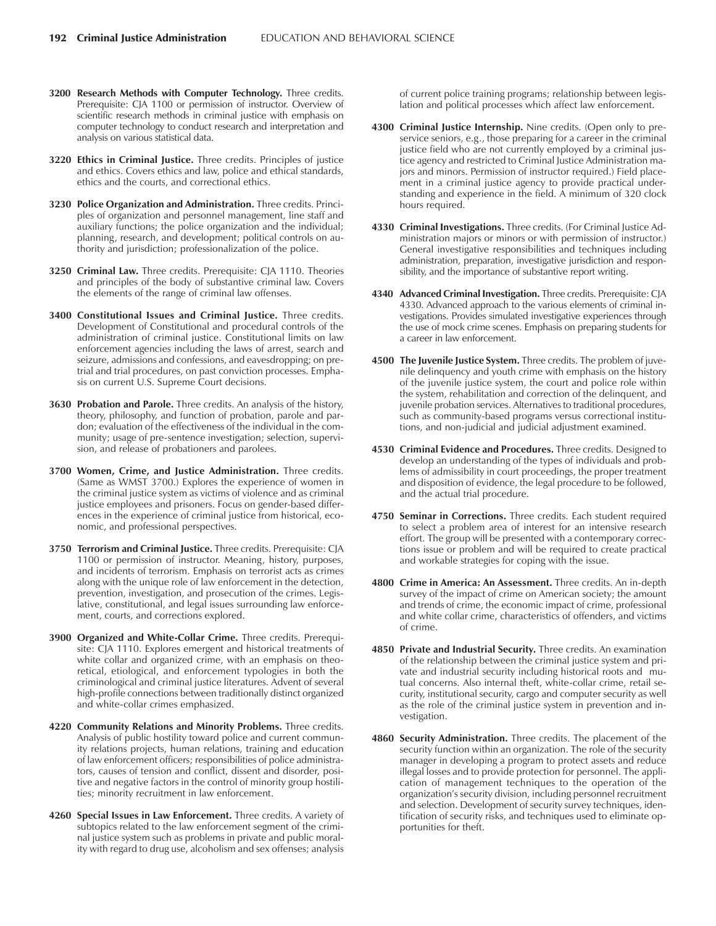- **3200 Research Methods with Computer Technology.** Three credits. Prerequisite: CJA 1100 or permission of instructor. Overview of scientific research methods in criminal justice with emphasis on computer technology to conduct research and interpretation and analysis on various statistical data.
- **3220 Ethics in Criminal Justice.** Three credits. Principles of justice and ethics. Covers ethics and law, police and ethical standards, ethics and the courts, and correctional ethics.
- **3230 Police Organization and Administration.** Three credits. Principles of organization and personnel management, line staff and auxiliary functions; the police organization and the individual; planning, research, and development; political controls on authority and jurisdiction; professionalization of the police.
- **3250 Criminal Law.** Three credits. Prerequisite: CJA 1110. Theories and principles of the body of substantive criminal law. Covers the elements of the range of criminal law offenses.
- **3400 Constitutional Issues and Criminal Justice.** Three credits. Development of Constitutional and procedural controls of the administration of criminal justice. Constitutional limits on law enforcement agencies including the laws of arrest, search and seizure, admissions and confessions, and eavesdropping; on pretrial and trial procedures, on past conviction processes. Emphasis on current U.S. Supreme Court decisions.
- **3630 Probation and Parole.** Three credits. An analysis of the history, theory, philosophy, and function of probation, parole and pardon; evaluation of the effectiveness of the individual in the community; usage of pre-sentence investigation; selection, supervision, and release of probationers and parolees.
- **3700 Women, Crime, and Justice Administration.** Three credits. (Same as WMST 3700.) Explores the experience of women in the criminal justice system as victims of violence and as criminal justice employees and prisoners. Focus on gender-based differences in the experience of criminal justice from historical, economic, and professional perspectives.
- **3750 Terrorism and Criminal Justice.** Three credits. Prerequisite: CJA 1100 or permission of instructor. Meaning, history, purposes, and incidents of terrorism. Emphasis on terrorist acts as crimes along with the unique role of law enforcement in the detection, prevention, investigation, and prosecution of the crimes. Legislative, constitutional, and legal issues surrounding law enforcement, courts, and corrections explored.
- **3900 Organized and White-Collar Crime.** Three credits. Prerequisite: CJA 1110. Explores emergent and historical treatments of white collar and organized crime, with an emphasis on theoretical, etiological, and enforcement typologies in both the criminological and criminal justice literatures. Advent of several high-profile connections between traditionally distinct organized and white-collar crimes emphasized.
- **4220 Community Relations and Minority Problems.** Three credits. Analysis of public hostility toward police and current community relations projects, human relations, training and education of law enforcement officers; responsibilities of police administrators, causes of tension and conflict, dissent and disorder, positive and negative factors in the control of minority group hostilities; minority recruitment in law enforcement.
- **4260 Special Issues in Law Enforcement.** Three credits. A variety of subtopics related to the law enforcement segment of the criminal justice system such as problems in private and public morality with regard to drug use, alcoholism and sex offenses; analysis

of current police training programs; relationship between legislation and political processes which affect law enforcement.

- **4300 Criminal Justice Internship.** Nine credits. (Open only to preservice seniors, e.g., those preparing for a career in the criminal justice field who are not currently employed by a criminal justice agency and restricted to Criminal Justice Administration majors and minors. Permission of instructor required.) Field placement in a criminal justice agency to provide practical understanding and experience in the field. A minimum of 320 clock hours required.
- **4330 Criminal Investigations.** Three credits. (For Criminal Justice Administration majors or minors or with permission of instructor.) General investigative responsibilities and techniques including administration, preparation, investigative jurisdiction and responsibility, and the importance of substantive report writing.
- **4340 Advanced Criminal Investigation.** Three credits. Prerequisite: CJA 4330. Advanced approach to the various elements of criminal investigations. Provides simulated investigative experiences through the use of mock crime scenes. Emphasis on preparing students for a career in law enforcement.
- **4500 The Juvenile Justice System.** Three credits. The problem of juvenile delinquency and youth crime with emphasis on the history of the juvenile justice system, the court and police role within the system, rehabilitation and correction of the delinquent, and juvenile probation services. Alternatives to traditional procedures, such as community-based programs versus correctional institutions, and non-judicial and judicial adjustment examined.
- **4530 Criminal Evidence and Procedures.** Three credits. Designed to develop an understanding of the types of individuals and problems of admissibility in court proceedings, the proper treatment and disposition of evidence, the legal procedure to be followed, and the actual trial procedure.
- **4750 Seminar in Corrections.** Three credits. Each student required to select a problem area of interest for an intensive research effort. The group will be presented with a contemporary corrections issue or problem and will be required to create practical and workable strategies for coping with the issue.
- **4800 Crime in America: An Assessment.** Three credits. An in-depth survey of the impact of crime on American society; the amount and trends of crime, the economic impact of crime, professional and white collar crime, characteristics of offenders, and victims of crime.
- **4850 Private and Industrial Security.** Three credits. An examination of the relationship between the criminal justice system and private and industrial security including historical roots and mutual concerns. Also internal theft, white-collar crime, retail security, institutional security, cargo and computer security as well as the role of the criminal justice system in prevention and investigation.
- **4860 Security Administration.** Three credits. The placement of the security function within an organization. The role of the security manager in developing a program to protect assets and reduce illegal losses and to provide protection for personnel. The application of management techniques to the operation of the organization's security division, including personnel recruitment and selection. Development of security survey techniques, identification of security risks, and techniques used to eliminate opportunities for theft.